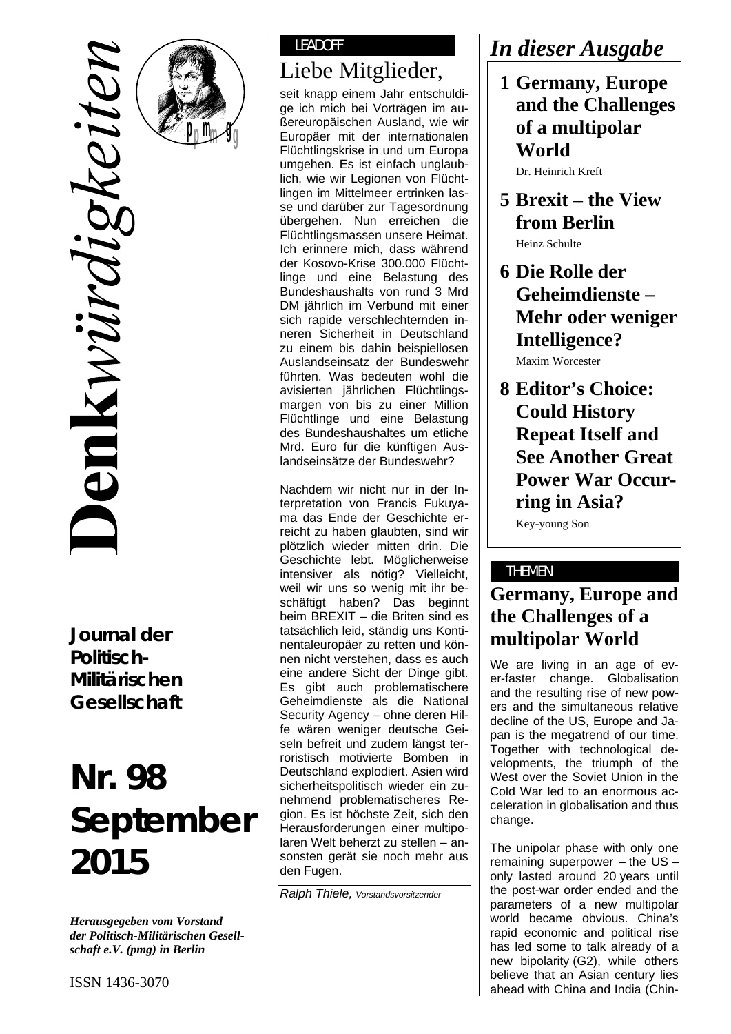

**pm g pm g**

**Journal der Politisch-Militärischen Gesellschaft** 

# **Nr. 98 September 2015**

*Herausgegeben vom Vorstand der Politisch-Militärischen Gesellschaft e.V. (pmg) in Berlin* 

### LEADOFF

# Liebe Mitglieder,

seit knapp einem Jahr entschuldige ich mich bei Vorträgen im außereuropäischen Ausland, wie wir Europäer mit der internationalen Flüchtlingskrise in und um Europa umgehen. Es ist einfach unglaublich, wie wir Legionen von Flüchtlingen im Mittelmeer ertrinken lasse und darüber zur Tagesordnung übergehen. Nun erreichen die Flüchtlingsmassen unsere Heimat. Ich erinnere mich, dass während der Kosovo-Krise 300.000 Flüchtlinge und eine Belastung des Bundeshaushalts von rund 3 Mrd DM jährlich im Verbund mit einer sich rapide verschlechternden inneren Sicherheit in Deutschland zu einem bis dahin beispiellosen Auslandseinsatz der Bundeswehr führten. Was bedeuten wohl die avisierten jährlichen Flüchtlingsmargen von bis zu einer Million Flüchtlinge und eine Belastung des Bundeshaushaltes um etliche Mrd. Euro für die künftigen Auslandseinsätze der Bundeswehr?

Nachdem wir nicht nur in der Interpretation von Francis Fukuyama das Ende der Geschichte erreicht zu haben glaubten, sind wir plötzlich wieder mitten drin. Die Geschichte lebt. Möglicherweise intensiver als nötig? Vielleicht, weil wir uns so wenig mit ihr beschäftigt haben? Das beginnt beim BREXIT – die Briten sind es tatsächlich leid, ständig uns Kontinentaleuropäer zu retten und können nicht verstehen, dass es auch eine andere Sicht der Dinge gibt. Es gibt auch problematischere Geheimdienste als die National Security Agency – ohne deren Hilfe wären weniger deutsche Geiseln befreit und zudem längst terroristisch motivierte Bomben in Deutschland explodiert. Asien wird sicherheitspolitisch wieder ein zunehmend problematischeres Region. Es ist höchste Zeit, sich den Herausforderungen einer multipolaren Welt beherzt zu stellen – ansonsten gerät sie noch mehr aus den Fugen.

*Ralph Thiele, Vorstandsvorsitzender* 

# *In dieser Ausgabe*

 **1 Germany, Europe and the Challenges of a multipolar World** 

Dr. Heinrich Kreft

- **5 Brexit the View from Berlin**  Heinz Schulte
- **6 Die Rolle der Geheimdienste – Mehr oder weniger Intelligence?**  Maxim Worcester

 **8 Editor's Choice: Could History Repeat Itself and See Another Great Power War Occurring in Asia?**  Key-young Son

#### THEMEN

# **Germany, Europe and the Challenges of a multipolar World**

We are living in an age of ever-faster change. Globalisation and the resulting rise of new powers and the simultaneous relative decline of the US, Europe and Japan is the megatrend of our time. Together with technological developments, the triumph of the West over the Soviet Union in the Cold War led to an enormous acceleration in globalisation and thus change.

The unipolar phase with only one remaining superpower – the US – only lasted around 20 years until the post-war order ended and the parameters of a new multipolar world became obvious. China's rapid economic and political rise has led some to talk already of a new bipolarity (G2), while others believe that an Asian century lies ahead with China and India (Chin-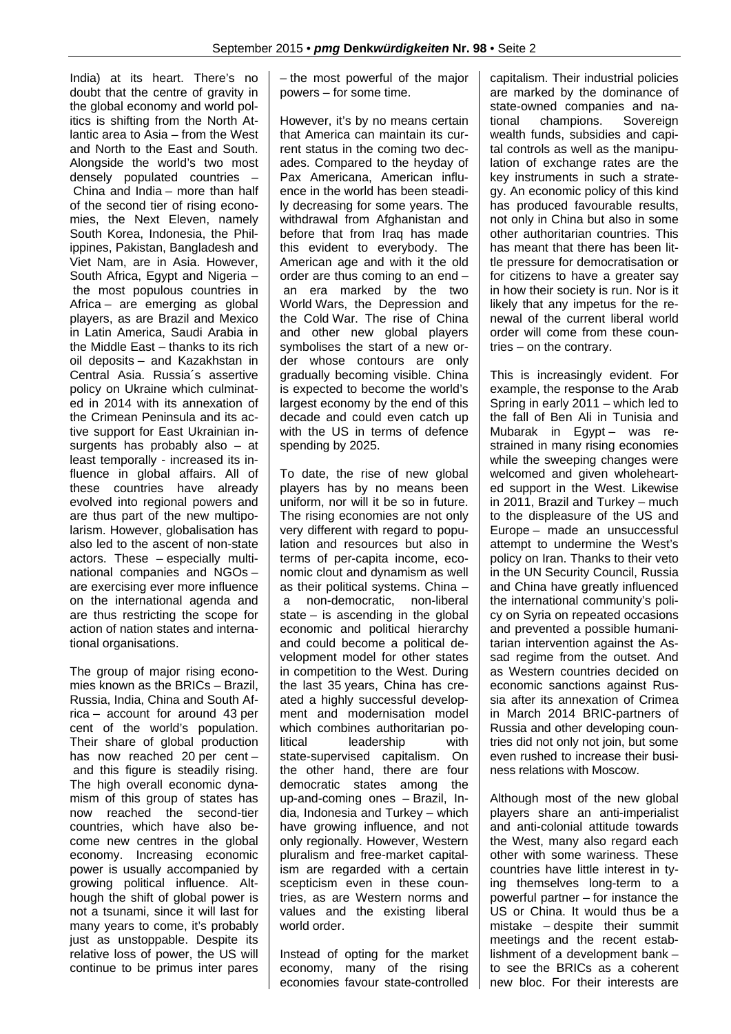India) at its heart. There's no doubt that the centre of gravity in the global economy and world politics is shifting from the North Atlantic area to Asia – from the West and North to the East and South. Alongside the world's two most densely populated countries – China and India – more than half of the second tier of rising economies, the Next Eleven, namely South Korea, Indonesia, the Philippines, Pakistan, Bangladesh and Viet Nam, are in Asia. However, South Africa, Egypt and Nigeria – the most populous countries in Africa – are emerging as global players, as are Brazil and Mexico in Latin America, Saudi Arabia in the Middle East – thanks to its rich oil deposits – and Kazakhstan in Central Asia. Russia´s assertive policy on Ukraine which culminated in 2014 with its annexation of the Crimean Peninsula and its active support for East Ukrainian insurgents has probably also – at least temporally - increased its influence in global affairs. All of these countries have already evolved into regional powers and are thus part of the new multipolarism. However, globalisation has also led to the ascent of non-state actors. These – especially multinational companies and NGOs – are exercising ever more influence on the international agenda and are thus restricting the scope for action of nation states and international organisations.

The group of major rising economies known as the BRICs – Brazil, Russia, India, China and South Africa – account for around 43 per cent of the world's population. Their share of global production has now reached 20 per cent – and this figure is steadily rising. The high overall economic dynamism of this group of states has now reached the second-tier countries, which have also become new centres in the global economy. Increasing economic power is usually accompanied by growing political influence. Although the shift of global power is not a tsunami, since it will last for many years to come, it's probably just as unstoppable. Despite its relative loss of power, the US will continue to be primus inter pares – the most powerful of the major powers – for some time.

However, it's by no means certain that America can maintain its current status in the coming two decades. Compared to the heyday of Pax Americana, American influence in the world has been steadily decreasing for some years. The withdrawal from Afghanistan and before that from Iraq has made this evident to everybody. The American age and with it the old order are thus coming to an end – an era marked by the two World Wars, the Depression and the Cold War. The rise of China and other new global players symbolises the start of a new order whose contours are only gradually becoming visible. China is expected to become the world's largest economy by the end of this decade and could even catch up with the US in terms of defence spending by 2025.

To date, the rise of new global players has by no means been uniform, nor will it be so in future. The rising economies are not only very different with regard to population and resources but also in terms of per-capita income, economic clout and dynamism as well as their political systems. China – a non-democratic, non-liberal state – is ascending in the global economic and political hierarchy and could become a political development model for other states in competition to the West. During the last 35 years, China has created a highly successful development and modernisation model which combines authoritarian political leadership with state-supervised capitalism. On the other hand, there are four democratic states among the up-and-coming ones – Brazil, India, Indonesia and Turkey – which have growing influence, and not only regionally. However, Western pluralism and free-market capitalism are regarded with a certain scepticism even in these countries, as are Western norms and values and the existing liberal world order.

Instead of opting for the market economy, many of the rising economies favour state-controlled capitalism. Their industrial policies are marked by the dominance of state-owned companies and national champions. Sovereign wealth funds, subsidies and capital controls as well as the manipulation of exchange rates are the key instruments in such a strategy. An economic policy of this kind has produced favourable results, not only in China but also in some other authoritarian countries. This has meant that there has been little pressure for democratisation or for citizens to have a greater say in how their society is run. Nor is it likely that any impetus for the renewal of the current liberal world order will come from these countries – on the contrary.

This is increasingly evident. For example, the response to the Arab Spring in early 2011 – which led to the fall of Ben Ali in Tunisia and Mubarak in Egypt – was restrained in many rising economies while the sweeping changes were welcomed and given wholehearted support in the West. Likewise in 2011, Brazil and Turkey – much to the displeasure of the US and Europe – made an unsuccessful attempt to undermine the West's policy on Iran. Thanks to their veto in the UN Security Council, Russia and China have greatly influenced the international community's policy on Syria on repeated occasions and prevented a possible humanitarian intervention against the Assad regime from the outset. And as Western countries decided on economic sanctions against Russia after its annexation of Crimea in March 2014 BRIC-partners of Russia and other developing countries did not only not join, but some even rushed to increase their business relations with Moscow.

Although most of the new global players share an anti-imperialist and anti-colonial attitude towards the West, many also regard each other with some wariness. These countries have little interest in tying themselves long-term to a powerful partner – for instance the US or China. It would thus be a mistake – despite their summit meetings and the recent establishment of a development bank – to see the BRICs as a coherent new bloc. For their interests are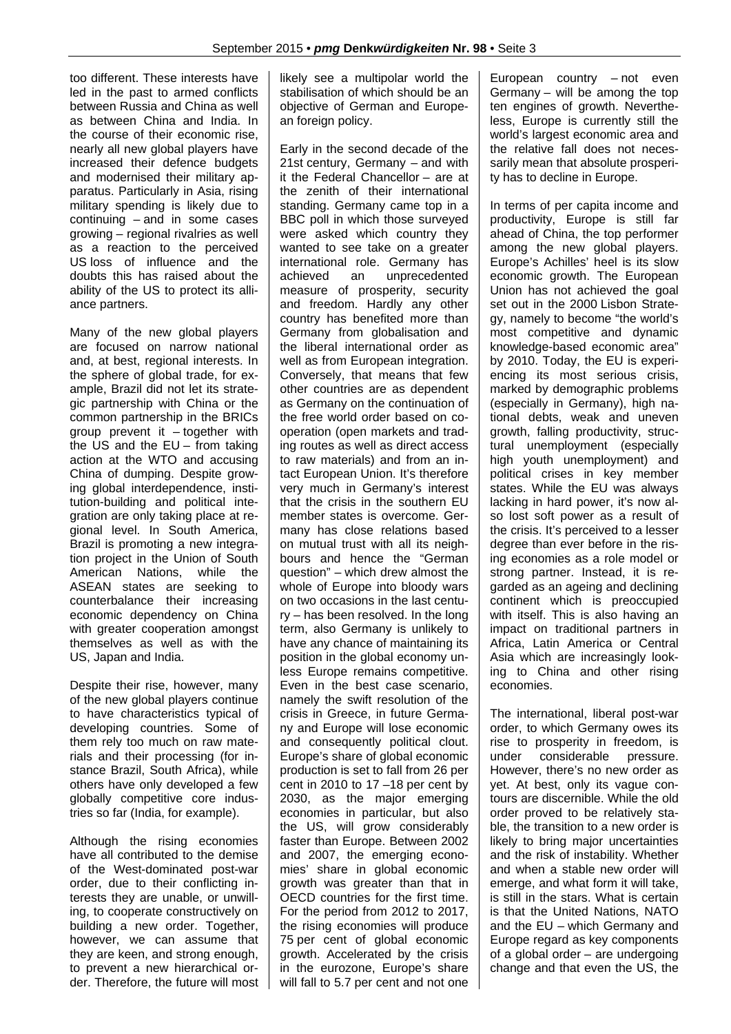too different. These interests have led in the past to armed conflicts between Russia and China as well as between China and India. In the course of their economic rise, nearly all new global players have increased their defence budgets and modernised their military apparatus. Particularly in Asia, rising military spending is likely due to continuing – and in some cases growing – regional rivalries as well as a reaction to the perceived US loss of influence and the doubts this has raised about the ability of the US to protect its alliance partners.

Many of the new global players are focused on narrow national and, at best, regional interests. In the sphere of global trade, for example, Brazil did not let its strategic partnership with China or the common partnership in the BRICs group prevent it – together with the US and the EU – from taking action at the WTO and accusing China of dumping. Despite growing global interdependence, institution-building and political integration are only taking place at regional level. In South America, Brazil is promoting a new integration project in the Union of South American Nations, while the ASEAN states are seeking to counterbalance their increasing economic dependency on China with greater cooperation amongst themselves as well as with the US, Japan and India.

Despite their rise, however, many of the new global players continue to have characteristics typical of developing countries. Some of them rely too much on raw materials and their processing (for instance Brazil, South Africa), while others have only developed a few globally competitive core industries so far (India, for example).

Although the rising economies have all contributed to the demise of the West-dominated post-war order, due to their conflicting interests they are unable, or unwilling, to cooperate constructively on building a new order. Together, however, we can assume that they are keen, and strong enough, to prevent a new hierarchical order. Therefore, the future will most

likely see a multipolar world the stabilisation of which should be an objective of German and European foreign policy.

Early in the second decade of the 21st century, Germany – and with it the Federal Chancellor – are at the zenith of their international standing. Germany came top in a BBC poll in which those surveyed were asked which country they wanted to see take on a greater international role. Germany has achieved an unprecedented measure of prosperity, security and freedom. Hardly any other country has benefited more than Germany from globalisation and the liberal international order as well as from European integration. Conversely, that means that few other countries are as dependent as Germany on the continuation of the free world order based on cooperation (open markets and trading routes as well as direct access to raw materials) and from an intact European Union. It's therefore very much in Germany's interest that the crisis in the southern EU member states is overcome. Germany has close relations based on mutual trust with all its neighbours and hence the "German question" – which drew almost the whole of Europe into bloody wars on two occasions in the last century – has been resolved. In the long term, also Germany is unlikely to have any chance of maintaining its position in the global economy unless Europe remains competitive. Even in the best case scenario, namely the swift resolution of the crisis in Greece, in future Germany and Europe will lose economic and consequently political clout. Europe's share of global economic production is set to fall from 26 per cent in 2010 to 17 –18 per cent by 2030, as the major emerging economies in particular, but also the US, will grow considerably faster than Europe. Between 2002 and 2007, the emerging economies' share in global economic growth was greater than that in OECD countries for the first time. For the period from 2012 to 2017, the rising economies will produce 75 per cent of global economic growth. Accelerated by the crisis in the eurozone, Europe's share will fall to 5.7 per cent and not one European country – not even Germany – will be among the top ten engines of growth. Nevertheless, Europe is currently still the world's largest economic area and the relative fall does not necessarily mean that absolute prosperity has to decline in Europe.

In terms of per capita income and productivity, Europe is still far ahead of China, the top performer among the new global players. Europe's Achilles' heel is its slow economic growth. The European Union has not achieved the goal set out in the 2000 Lisbon Strategy, namely to become "the world's most competitive and dynamic knowledge-based economic area" by 2010. Today, the EU is experiencing its most serious crisis, marked by demographic problems (especially in Germany), high national debts, weak and uneven growth, falling productivity, structural unemployment (especially high youth unemployment) and political crises in key member states. While the EU was always lacking in hard power, it's now also lost soft power as a result of the crisis. It's perceived to a lesser degree than ever before in the rising economies as a role model or strong partner. Instead, it is regarded as an ageing and declining continent which is preoccupied with itself. This is also having an impact on traditional partners in Africa, Latin America or Central Asia which are increasingly looking to China and other rising economies.

The international, liberal post-war order, to which Germany owes its rise to prosperity in freedom, is under considerable pressure. However, there's no new order as yet. At best, only its vague contours are discernible. While the old order proved to be relatively stable, the transition to a new order is likely to bring major uncertainties and the risk of instability. Whether and when a stable new order will emerge, and what form it will take, is still in the stars. What is certain is that the United Nations, NATO and the EU – which Germany and Europe regard as key components of a global order – are undergoing change and that even the US, the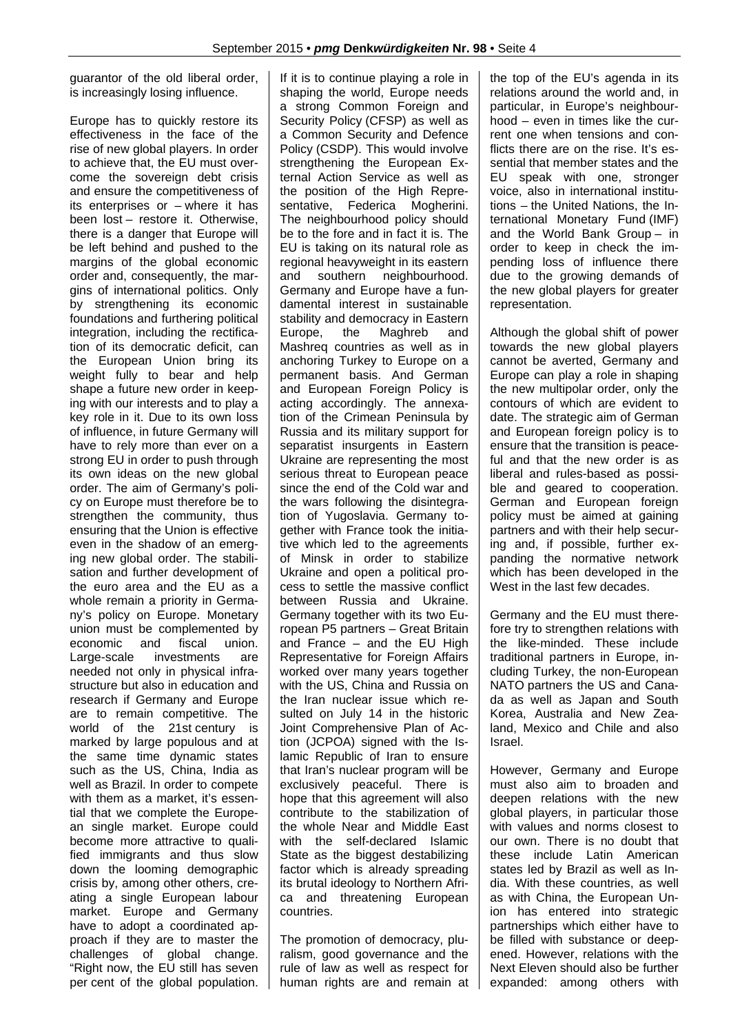guarantor of the old liberal order, is increasingly losing influence.

Europe has to quickly restore its effectiveness in the face of the rise of new global players. In order to achieve that, the EU must overcome the sovereign debt crisis and ensure the competitiveness of its enterprises or – where it has been lost – restore it. Otherwise, there is a danger that Europe will be left behind and pushed to the margins of the global economic order and, consequently, the margins of international politics. Only by strengthening its economic foundations and furthering political integration, including the rectification of its democratic deficit, can the European Union bring its weight fully to bear and help shape a future new order in keeping with our interests and to play a key role in it. Due to its own loss of influence, in future Germany will have to rely more than ever on a strong EU in order to push through its own ideas on the new global order. The aim of Germany's policy on Europe must therefore be to strengthen the community, thus ensuring that the Union is effective even in the shadow of an emerging new global order. The stabilisation and further development of the euro area and the EU as a whole remain a priority in Germany's policy on Europe. Monetary union must be complemented by economic and fiscal union. Large-scale investments are needed not only in physical infrastructure but also in education and research if Germany and Europe are to remain competitive. The world of the 21st century is marked by large populous and at the same time dynamic states such as the US, China, India as well as Brazil. In order to compete with them as a market, it's essential that we complete the European single market. Europe could become more attractive to qualified immigrants and thus slow down the looming demographic crisis by, among other others, creating a single European labour market. Europe and Germany have to adopt a coordinated approach if they are to master the challenges of global change. "Right now, the EU still has seven per cent of the global population.

If it is to continue playing a role in shaping the world, Europe needs a strong Common Foreign and Security Policy (CFSP) as well as a Common Security and Defence Policy (CSDP). This would involve strengthening the European External Action Service as well as the position of the High Representative, Federica Mogherini. The neighbourhood policy should be to the fore and in fact it is. The EU is taking on its natural role as regional heavyweight in its eastern and southern neighbourhood. Germany and Europe have a fundamental interest in sustainable stability and democracy in Eastern Europe, the Maghreb and Mashreq countries as well as in anchoring Turkey to Europe on a permanent basis. And German and European Foreign Policy is acting accordingly. The annexation of the Crimean Peninsula by Russia and its military support for separatist insurgents in Eastern Ukraine are representing the most serious threat to European peace since the end of the Cold war and the wars following the disintegration of Yugoslavia. Germany together with France took the initiative which led to the agreements of Minsk in order to stabilize Ukraine and open a political process to settle the massive conflict between Russia and Ukraine. Germany together with its two European P5 partners – Great Britain and France – and the EU High Representative for Foreign Affairs worked over many years together with the US, China and Russia on the Iran nuclear issue which resulted on July 14 in the historic Joint Comprehensive Plan of Action (JCPOA) signed with the Islamic Republic of Iran to ensure that Iran's nuclear program will be exclusively peaceful. There is hope that this agreement will also contribute to the stabilization of the whole Near and Middle East with the self-declared Islamic State as the biggest destabilizing factor which is already spreading its brutal ideology to Northern Africa and threatening European countries.

The promotion of democracy, pluralism, good governance and the rule of law as well as respect for human rights are and remain at the top of the EU's agenda in its relations around the world and, in particular, in Europe's neighbourhood – even in times like the current one when tensions and conflicts there are on the rise. It's essential that member states and the EU speak with one, stronger voice, also in international institutions – the United Nations, the International Monetary Fund (IMF) and the World Bank Group – in order to keep in check the impending loss of influence there due to the growing demands of the new global players for greater representation.

Although the global shift of power towards the new global players cannot be averted, Germany and Europe can play a role in shaping the new multipolar order, only the contours of which are evident to date. The strategic aim of German and European foreign policy is to ensure that the transition is peaceful and that the new order is as liberal and rules-based as possible and geared to cooperation. German and European foreign policy must be aimed at gaining partners and with their help securing and, if possible, further expanding the normative network which has been developed in the West in the last few decades.

Germany and the EU must therefore try to strengthen relations with the like-minded. These include traditional partners in Europe, including Turkey, the non-European NATO partners the US and Canada as well as Japan and South Korea, Australia and New Zealand, Mexico and Chile and also Israel.

However, Germany and Europe must also aim to broaden and deepen relations with the new global players, in particular those with values and norms closest to our own. There is no doubt that these include Latin American states led by Brazil as well as India. With these countries, as well as with China, the European Union has entered into strategic partnerships which either have to be filled with substance or deepened. However, relations with the Next Eleven should also be further expanded: among others with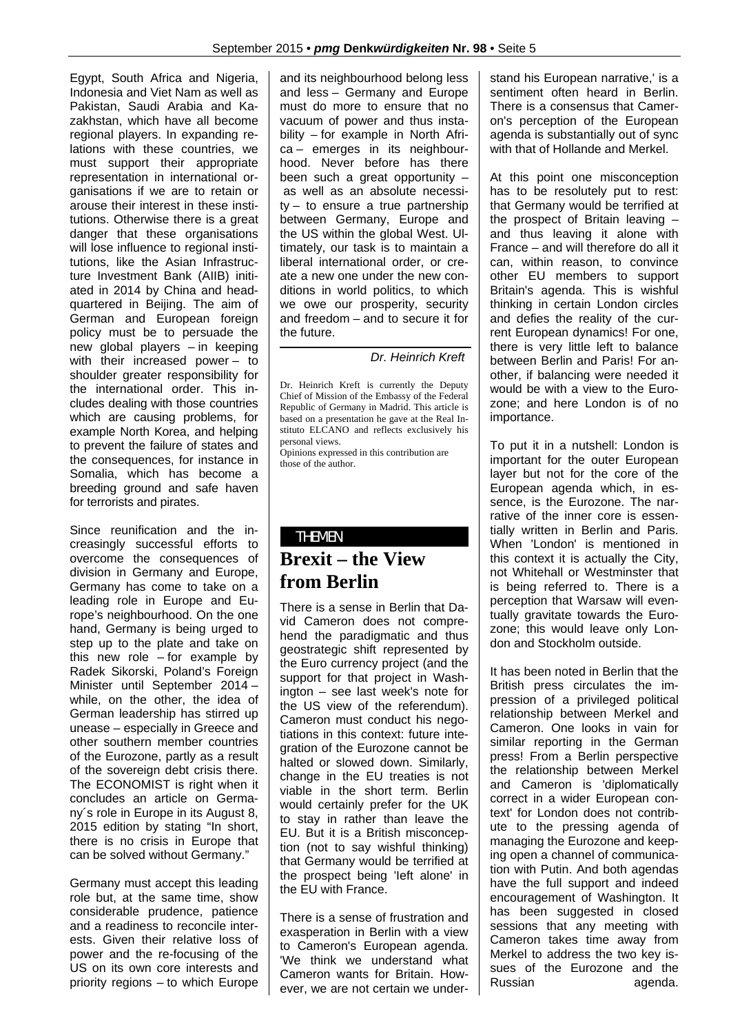Egypt, South Africa and Nigeria, Indonesia and Viet Nam as well as Pakistan, Saudi Arabia and Kazakhstan, which have all become regional players. In expanding relations with these countries, we must support their appropriate representation in international organisations if we are to retain or arouse their interest in these institutions. Otherwise there is a great danger that these organisations will lose influence to regional institutions, like the Asian Infrastructure Investment Bank (AIIB) initiated in 2014 by China and headquartered in Beijing. The aim of German and European foreign policy must be to persuade the new global players – in keeping with their increased power – to shoulder greater responsibility for the international order. This includes dealing with those countries which are causing problems, for example North Korea, and helping to prevent the failure of states and the consequences, for instance in Somalia, which has become a breeding ground and safe haven for terrorists and pirates.

Since reunification and the increasingly successful efforts to overcome the consequences of division in Germany and Europe, Germany has come to take on a leading role in Europe and Europe's neighbourhood. On the one hand, Germany is being urged to step up to the plate and take on this new role  $-$  for example by Radek Sikorski, Poland's Foreign Minister until September 2014 – while, on the other, the idea of German leadership has stirred up unease – especially in Greece and other southern member countries of the Eurozone, partly as a result of the sovereign debt crisis there. The ECONOMIST is right when it concludes an article on Germany´s role in Europe in its August 8, 2015 edition by stating "In short, there is no crisis in Europe that can be solved without Germany."

Germany must accept this leading role but, at the same time, show considerable prudence, patience and a readiness to reconcile interests. Given their relative loss of power and the re-focusing of the US on its own core interests and priority regions – to which Europe and its neighbourhood belong less and less – Germany and Europe must do more to ensure that no vacuum of power and thus instability – for example in North Africa – emerges in its neighbourhood. Never before has there been such a great opportunity – as well as an absolute necessity – to ensure a true partnership between Germany, Europe and the US within the global West. Ultimately, our task is to maintain a liberal international order, or create a new one under the new conditions in world politics, to which we owe our prosperity, security and freedom – and to secure it for the future.

*Dr. Heinrich Kreft*

Dr. Heinrich Kreft is currently the Deputy Chief of Mission of the Embassy of the Federal Republic of Germany in Madrid. This article is based on a presentation he gave at the Real Instituto ELCANO and reflects exclusively his personal views.

Opinions expressed in this contribution are those of the author.

### THEMEN **Brexit – the View from Berlin**

There is a sense in Berlin that David Cameron does not comprehend the paradigmatic and thus geostrategic shift represented by the Euro currency project (and the support for that project in Washington – see last week's note for the US view of the referendum). Cameron must conduct his negotiations in this context: future integration of the Eurozone cannot be halted or slowed down. Similarly, change in the EU treaties is not viable in the short term. Berlin would certainly prefer for the UK to stay in rather than leave the EU. But it is a British misconception (not to say wishful thinking) that Germany would be terrified at the prospect being 'Ieft alone' in the EU with France.

There is a sense of frustration and exasperation in Berlin with a view to Cameron's European agenda. 'We think we understand what Cameron wants for Britain. However, we are not certain we understand his European narrative,' is a sentiment often heard in Berlin. There is a consensus that Cameron's perception of the European agenda is substantially out of sync with that of Hollande and Merkel.

At this point one misconception has to be resolutely put to rest: that Germany would be terrified at the prospect of Britain leaving – and thus leaving it alone with France – and will therefore do all it can, within reason, to convince other EU members to support Britain's agenda. This is wishful thinking in certain London circles and defies the reality of the current European dynamics! For one, there is very little left to balance between Berlin and Paris! For another, if balancing were needed it would be with a view to the Eurozone; and here London is of no importance.

To put it in a nutshell: London is important for the outer European layer but not for the core of the European agenda which, in essence, is the Eurozone. The narrative of the inner core is essentially written in Berlin and Paris. When 'London' is mentioned in this context it is actually the City, not Whitehall or Westminster that is being referred to. There is a perception that Warsaw will eventually gravitate towards the Eurozone; this would leave only London and Stockholm outside.

It has been noted in Berlin that the British press circulates the impression of a privileged political relationship between Merkel and Cameron. One looks in vain for similar reporting in the German press! From a Berlin perspective the relationship between Merkel and Cameron is 'diplomatically correct in a wider European context' for London does not contribute to the pressing agenda of managing the Eurozone and keeping open a channel of communication with Putin. And both agendas have the full support and indeed encouragement of Washington. It has been suggested in closed sessions that any meeting with Cameron takes time away from Merkel to address the two key issues of the Eurozone and the Russian agenda.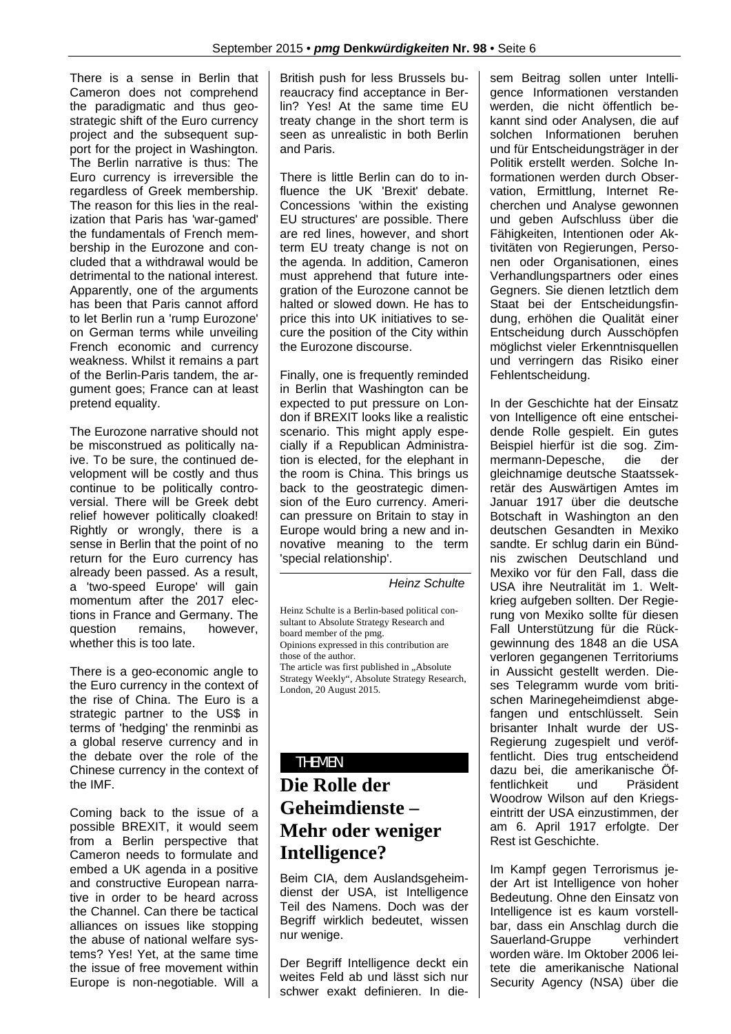There is a sense in Berlin that Cameron does not comprehend the paradigmatic and thus geostrategic shift of the Euro currency project and the subsequent support for the project in Washington. The Berlin narrative is thus: The Euro currency is irreversible the regardless of Greek membership. The reason for this lies in the realization that Paris has 'war-gamed' the fundamentals of French membership in the Eurozone and concluded that a withdrawal would be detrimental to the national interest. Apparently, one of the arguments has been that Paris cannot afford to let Berlin run a 'rump Eurozone' on German terms while unveiling French economic and currency weakness. Whilst it remains a part of the Berlin-Paris tandem, the argument goes; France can at least pretend equality.

The Eurozone narrative should not be misconstrued as politically naive. To be sure, the continued development will be costly and thus continue to be politically controversial. There will be Greek debt relief however politically cloaked! Rightly or wrongly, there is a sense in Berlin that the point of no return for the Euro currency has already been passed. As a result, a 'two-speed Europe' will gain momentum after the 2017 elections in France and Germany. The question remains, however, whether this is too late.

There is a geo-economic angle to the Euro currency in the context of the rise of China. The Euro is a strategic partner to the US\$ in terms of 'hedging' the renminbi as a global reserve currency and in the debate over the role of the Chinese currency in the context of the IMF.

Coming back to the issue of a possible BREXIT, it would seem from a Berlin perspective that Cameron needs to formulate and embed a UK agenda in a positive and constructive European narrative in order to be heard across the Channel. Can there be tactical alliances on issues like stopping the abuse of national welfare systems? Yes! Yet, at the same time the issue of free movement within Europe is non-negotiable. Will a

British push for less Brussels bureaucracy find acceptance in Berlin? Yes! At the same time EU treaty change in the short term is seen as unrealistic in both Berlin and Paris.

There is little Berlin can do to influence the UK 'Brexit' debate. Concessions 'within the existing EU structures' are possible. There are red lines, however, and short term EU treaty change is not on the agenda. In addition, Cameron must apprehend that future integration of the Eurozone cannot be halted or slowed down. He has to price this into UK initiatives to secure the position of the City within the Eurozone discourse.

Finally, one is frequently reminded in Berlin that Washington can be expected to put pressure on London if BREXIT looks like a realistic scenario. This might apply especially if a Republican Administration is elected, for the elephant in the room is China. This brings us back to the geostrategic dimension of the Euro currency. American pressure on Britain to stay in Europe would bring a new and innovative meaning to the term 'special relationship'.

*Heinz Schulte*

Heinz Schulte is a Berlin-based political consultant to Absolute Strategy Research and board member of the pmg. Opinions expressed in this contribution are those of the author. The article was first published in ..Absolute Strategy Weekly", Absolute Strategy Research, London, 20 August 2015.

#### THEMEN

# **Die Rolle der Geheimdienste – Mehr oder weniger Intelligence?**

Beim CIA, dem Auslandsgeheimdienst der USA, ist Intelligence Teil des Namens. Doch was der Begriff wirklich bedeutet, wissen nur wenige.

Der Begriff Intelligence deckt ein weites Feld ab und lässt sich nur schwer exakt definieren. In diesem Beitrag sollen unter Intelligence Informationen verstanden werden, die nicht öffentlich bekannt sind oder Analysen, die auf solchen Informationen beruhen und für Entscheidungsträger in der Politik erstellt werden. Solche Informationen werden durch Observation, Ermittlung, Internet Recherchen und Analyse gewonnen und geben Aufschluss über die Fähigkeiten, Intentionen oder Aktivitäten von Regierungen, Personen oder Organisationen, eines Verhandlungspartners oder eines Gegners. Sie dienen letztlich dem Staat bei der Entscheidungsfindung, erhöhen die Qualität einer Entscheidung durch Ausschöpfen möglichst vieler Erkenntnisquellen und verringern das Risiko einer Fehlentscheidung.

In der Geschichte hat der Einsatz von Intelligence oft eine entscheidende Rolle gespielt. Ein gutes Beispiel hierfür ist die sog. Zimmermann-Depesche, die der gleichnamige deutsche Staatssekretär des Auswärtigen Amtes im Januar 1917 über die deutsche Botschaft in Washington an den deutschen Gesandten in Mexiko sandte. Er schlug darin ein Bündnis zwischen Deutschland und Mexiko vor für den Fall, dass die USA ihre Neutralität im 1. Weltkrieg aufgeben sollten. Der Regierung von Mexiko sollte für diesen Fall Unterstützung für die Rückgewinnung des 1848 an die USA verloren gegangenen Territoriums in Aussicht gestellt werden. Dieses Telegramm wurde vom britischen Marinegeheimdienst abgefangen und entschlüsselt. Sein brisanter Inhalt wurde der US-Regierung zugespielt und veröffentlicht. Dies trug entscheidend dazu bei, die amerikanische Öffentlichkeit und Präsident Woodrow Wilson auf den Kriegseintritt der USA einzustimmen, der am 6. April 1917 erfolgte. Der Rest ist Geschichte.

Im Kampf gegen Terrorismus jeder Art ist Intelligence von hoher Bedeutung. Ohne den Einsatz von Intelligence ist es kaum vorstellbar, dass ein Anschlag durch die Sauerland-Gruppe verhindert worden wäre. Im Oktober 2006 leitete die amerikanische National Security Agency (NSA) über die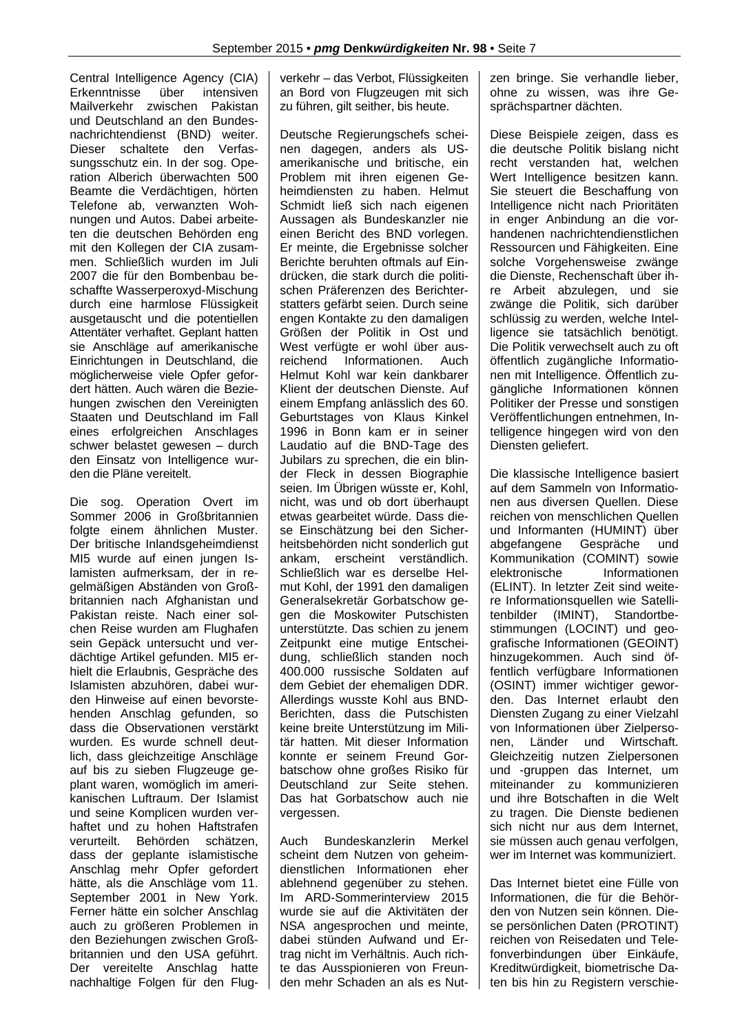Central Intelligence Agency (CIA) Erkenntnisse über intensiven Mailverkehr zwischen Pakistan und Deutschland an den Bundesnachrichtendienst (BND) weiter. Dieser schaltete den Verfassungsschutz ein. In der sog. Operation Alberich überwachten 500 Beamte die Verdächtigen, hörten Telefone ab, verwanzten Wohnungen und Autos. Dabei arbeiteten die deutschen Behörden eng mit den Kollegen der CIA zusammen. Schließlich wurden im Juli 2007 die für den Bombenbau beschaffte Wasserperoxyd-Mischung durch eine harmlose Flüssigkeit ausgetauscht und die potentiellen Attentäter verhaftet. Geplant hatten sie Anschläge auf amerikanische Einrichtungen in Deutschland, die möglicherweise viele Opfer gefordert hätten. Auch wären die Beziehungen zwischen den Vereinigten Staaten und Deutschland im Fall eines erfolgreichen Anschlages schwer belastet gewesen – durch den Einsatz von Intelligence wurden die Pläne vereitelt.

Die sog. Operation Overt im Sommer 2006 in Großbritannien folgte einem ähnlichen Muster. Der britische Inlandsgeheimdienst MI5 wurde auf einen jungen Islamisten aufmerksam, der in regelmäßigen Abständen von Großbritannien nach Afghanistan und Pakistan reiste. Nach einer solchen Reise wurden am Flughafen sein Gepäck untersucht und verdächtige Artikel gefunden. MI5 erhielt die Erlaubnis, Gespräche des Islamisten abzuhören, dabei wurden Hinweise auf einen bevorstehenden Anschlag gefunden, so dass die Observationen verstärkt wurden. Es wurde schnell deutlich, dass gleichzeitige Anschläge auf bis zu sieben Flugzeuge geplant waren, womöglich im amerikanischen Luftraum. Der Islamist und seine Komplicen wurden verhaftet und zu hohen Haftstrafen verurteilt. Behörden schätzen, dass der geplante islamistische Anschlag mehr Opfer gefordert hätte, als die Anschläge vom 11. September 2001 in New York. Ferner hätte ein solcher Anschlag auch zu größeren Problemen in den Beziehungen zwischen Großbritannien und den USA geführt. Der vereitelte Anschlag hatte nachhaltige Folgen für den Flugverkehr – das Verbot, Flüssigkeiten an Bord von Flugzeugen mit sich zu führen, gilt seither, bis heute.

Deutsche Regierungschefs scheinen dagegen, anders als USamerikanische und britische, ein Problem mit ihren eigenen Geheimdiensten zu haben. Helmut Schmidt ließ sich nach eigenen Aussagen als Bundeskanzler nie einen Bericht des BND vorlegen. Er meinte, die Ergebnisse solcher Berichte beruhten oftmals auf Eindrücken, die stark durch die politischen Präferenzen des Berichterstatters gefärbt seien. Durch seine engen Kontakte zu den damaligen Größen der Politik in Ost und West verfügte er wohl über ausreichend Informationen. Auch Helmut Kohl war kein dankbarer Klient der deutschen Dienste. Auf einem Empfang anlässlich des 60. Geburtstages von Klaus Kinkel 1996 in Bonn kam er in seiner Laudatio auf die BND-Tage des Jubilars zu sprechen, die ein blinder Fleck in dessen Biographie seien. Im Übrigen wüsste er, Kohl, nicht, was und ob dort überhaupt etwas gearbeitet würde. Dass diese Einschätzung bei den Sicherheitsbehörden nicht sonderlich gut ankam, erscheint verständlich. Schließlich war es derselbe Helmut Kohl, der 1991 den damaligen Generalsekretär Gorbatschow gegen die Moskowiter Putschisten unterstützte. Das schien zu jenem Zeitpunkt eine mutige Entscheidung, schließlich standen noch 400.000 russische Soldaten auf dem Gebiet der ehemaligen DDR. Allerdings wusste Kohl aus BND-Berichten, dass die Putschisten keine breite Unterstützung im Militär hatten. Mit dieser Information konnte er seinem Freund Gorbatschow ohne großes Risiko für Deutschland zur Seite stehen. Das hat Gorbatschow auch nie vergessen.

Auch Bundeskanzlerin Merkel scheint dem Nutzen von geheimdienstlichen Informationen eher ablehnend gegenüber zu stehen. Im ARD-Sommerinterview 2015 wurde sie auf die Aktivitäten der NSA angesprochen und meinte, dabei stünden Aufwand und Ertrag nicht im Verhältnis. Auch richte das Ausspionieren von Freunden mehr Schaden an als es Nutzen bringe. Sie verhandle lieber, ohne zu wissen, was ihre Gesprächspartner dächten.

Diese Beispiele zeigen, dass es die deutsche Politik bislang nicht recht verstanden hat, welchen Wert Intelligence besitzen kann. Sie steuert die Beschaffung von Intelligence nicht nach Prioritäten in enger Anbindung an die vorhandenen nachrichtendienstlichen Ressourcen und Fähigkeiten. Eine solche Vorgehensweise zwänge die Dienste, Rechenschaft über ihre Arbeit abzulegen, und sie zwänge die Politik, sich darüber schlüssig zu werden, welche Intelligence sie tatsächlich benötigt. Die Politik verwechselt auch zu oft öffentlich zugängliche Informationen mit Intelligence. Öffentlich zugängliche Informationen können Politiker der Presse und sonstigen Veröffentlichungen entnehmen, Intelligence hingegen wird von den Diensten geliefert.

Die klassische Intelligence basiert auf dem Sammeln von Informationen aus diversen Quellen. Diese reichen von menschlichen Quellen und Informanten (HUMINT) über abgefangene Gespräche und Kommunikation (COMINT) sowie elektronische Informationen (ELINT). In letzter Zeit sind weitere Informationsquellen wie Satellitenbilder (IMINT), Standortbestimmungen (LOCINT) und geografische Informationen (GEOINT) hinzugekommen. Auch sind öffentlich verfügbare Informationen (OSINT) immer wichtiger geworden. Das Internet erlaubt den Diensten Zugang zu einer Vielzahl von Informationen über Zielpersonen, Länder und Wirtschaft. Gleichzeitig nutzen Zielpersonen und -gruppen das Internet, um miteinander zu kommunizieren und ihre Botschaften in die Welt zu tragen. Die Dienste bedienen sich nicht nur aus dem Internet, sie müssen auch genau verfolgen. wer im Internet was kommuniziert.

Das Internet bietet eine Fülle von Informationen, die für die Behörden von Nutzen sein können. Diese persönlichen Daten (PROTINT) reichen von Reisedaten und Telefonverbindungen über Einkäufe, Kreditwürdigkeit, biometrische Daten bis hin zu Registern verschie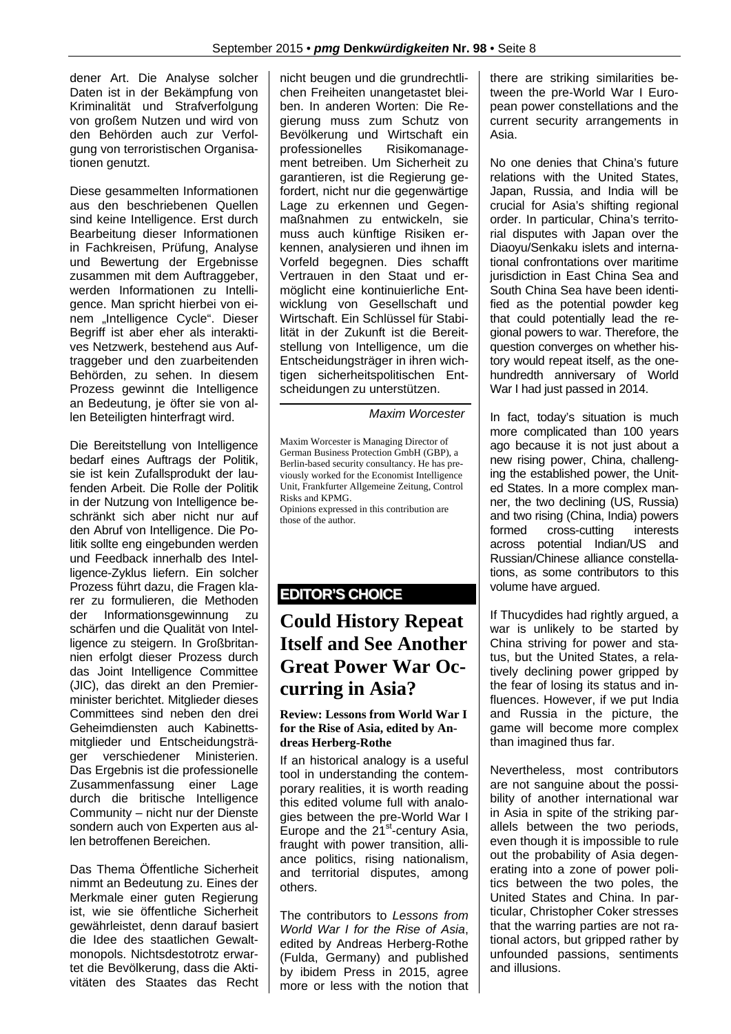dener Art. Die Analyse solcher Daten ist in der Bekämpfung von Kriminalität und Strafverfolgung von großem Nutzen und wird von den Behörden auch zur Verfolgung von terroristischen Organisationen genutzt.

Diese gesammelten Informationen aus den beschriebenen Quellen sind keine Intelligence. Erst durch Bearbeitung dieser Informationen in Fachkreisen, Prüfung, Analyse und Bewertung der Ergebnisse zusammen mit dem Auftraggeber, werden Informationen zu Intelligence. Man spricht hierbei von einem "Intelligence Cycle". Dieser Begriff ist aber eher als interaktives Netzwerk, bestehend aus Auftraggeber und den zuarbeitenden Behörden, zu sehen. In diesem Prozess gewinnt die Intelligence an Bedeutung, je öfter sie von allen Beteiligten hinterfragt wird.

Die Bereitstellung von Intelligence bedarf eines Auftrags der Politik, sie ist kein Zufallsprodukt der laufenden Arbeit. Die Rolle der Politik in der Nutzung von Intelligence beschränkt sich aber nicht nur auf den Abruf von Intelligence. Die Politik sollte eng eingebunden werden und Feedback innerhalb des Intelligence-Zyklus liefern. Ein solcher Prozess führt dazu, die Fragen klarer zu formulieren, die Methoden der Informationsgewinnung zu schärfen und die Qualität von Intelligence zu steigern. In Großbritannien erfolgt dieser Prozess durch das Joint Intelligence Committee (JIC), das direkt an den Premierminister berichtet. Mitglieder dieses Committees sind neben den drei Geheimdiensten auch Kabinettsmitglieder und Entscheidungsträger verschiedener Ministerien. Das Ergebnis ist die professionelle Zusammenfassung einer Lage durch die britische Intelligence Community – nicht nur der Dienste sondern auch von Experten aus allen betroffenen Bereichen.

Das Thema Öffentliche Sicherheit nimmt an Bedeutung zu. Eines der Merkmale einer guten Regierung ist, wie sie öffentliche Sicherheit gewährleistet, denn darauf basiert die Idee des staatlichen Gewaltmonopols. Nichtsdestotrotz erwartet die Bevölkerung, dass die Aktivitäten des Staates das Recht nicht beugen und die grundrechtlichen Freiheiten unangetastet bleiben. In anderen Worten: Die Regierung muss zum Schutz von Bevölkerung und Wirtschaft ein professionelles Risikomanagement betreiben. Um Sicherheit zu garantieren, ist die Regierung gefordert, nicht nur die gegenwärtige Lage zu erkennen und Gegenmaßnahmen zu entwickeln, sie muss auch künftige Risiken erkennen, analysieren und ihnen im Vorfeld begegnen. Dies schafft Vertrauen in den Staat und ermöglicht eine kontinuierliche Entwicklung von Gesellschaft und Wirtschaft. Ein Schlüssel für Stabilität in der Zukunft ist die Bereitstellung von Intelligence, um die Entscheidungsträger in ihren wichtigen sicherheitspolitischen Entscheidungen zu unterstützen.

*Maxim Worcester*

Maxim Worcester is Managing Director of German Business Protection GmbH (GBP), a Berlin-based security consultancy. He has previously worked for the Economist Intelligence Unit, Frankfurter Allgemeine Zeitung, Control Risks and KPMG.

Opinions expressed in this contribution are those of the author.

#### **EDITOR'S CHOICE**

## **Could History Repeat Itself and See Another Great Power War Occurring in Asia?**

#### **Review: Lessons from World War I for the Rise of Asia, edited by Andreas Herberg-Rothe**

If an historical analogy is a useful tool in understanding the contemporary realities, it is worth reading this edited volume full with analogies between the pre-World War I Europe and the  $21<sup>st</sup>$ -century Asia, fraught with power transition, alliance politics, rising nationalism, and territorial disputes, among others.

The contributors to *Lessons from World War I for the Rise of Asia*, edited by Andreas Herberg-Rothe (Fulda, Germany) and published by ibidem Press in 2015, agree more or less with the notion that there are striking similarities between the pre-World War I European power constellations and the current security arrangements in Asia.

No one denies that China's future relations with the United States, Japan, Russia, and India will be crucial for Asia's shifting regional order. In particular, China's territorial disputes with Japan over the Diaoyu/Senkaku islets and international confrontations over maritime jurisdiction in East China Sea and South China Sea have been identified as the potential powder keg that could potentially lead the regional powers to war. Therefore, the question converges on whether history would repeat itself, as the onehundredth anniversary of World War I had just passed in 2014.

In fact, today's situation is much more complicated than 100 years ago because it is not just about a new rising power, China, challenging the established power, the United States. In a more complex manner, the two declining (US, Russia) and two rising (China, India) powers formed cross-cutting interests across potential Indian/US and Russian/Chinese alliance constellations, as some contributors to this volume have argued.

If Thucydides had rightly argued, a war is unlikely to be started by China striving for power and status, but the United States, a relatively declining power gripped by the fear of losing its status and influences. However, if we put India and Russia in the picture, the game will become more complex than imagined thus far.

Nevertheless, most contributors are not sanguine about the possibility of another international war in Asia in spite of the striking parallels between the two periods, even though it is impossible to rule out the probability of Asia degenerating into a zone of power politics between the two poles, the United States and China. In particular, Christopher Coker stresses that the warring parties are not rational actors, but gripped rather by unfounded passions, sentiments and illusions.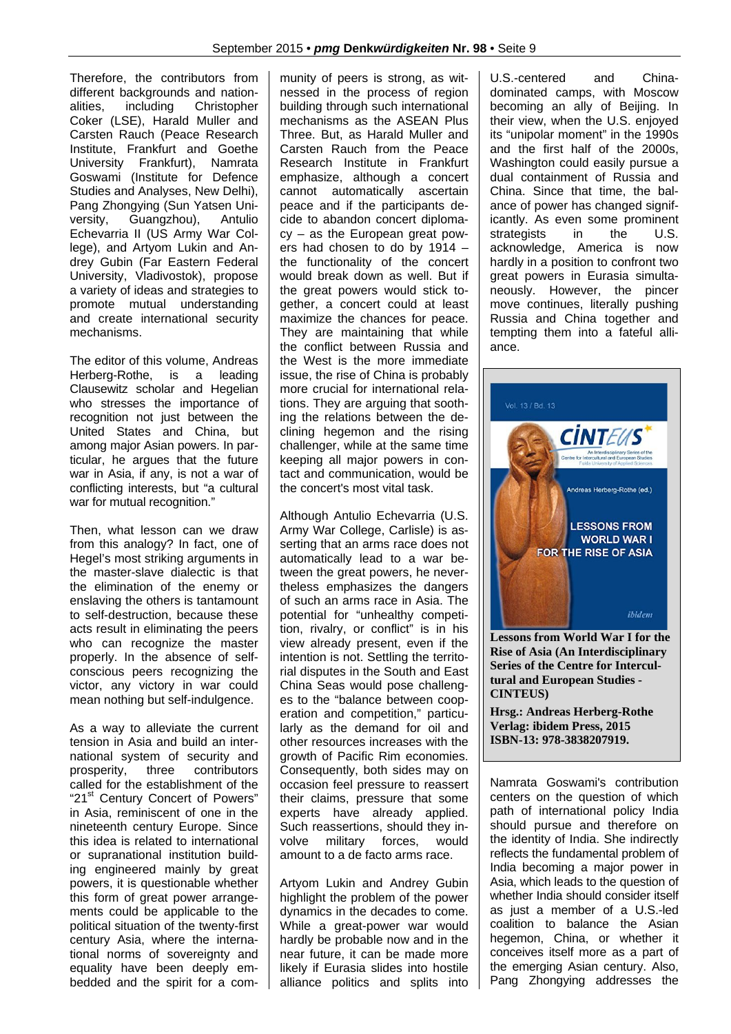Therefore, the contributors from different backgrounds and nationalities, including Christopher Coker (LSE), Harald Muller and Carsten Rauch (Peace Research Institute, Frankfurt and Goethe University Frankfurt), Namrata Goswami (Institute for Defence Studies and Analyses, New Delhi), Pang Zhongying (Sun Yatsen University, Guangzhou), Antulio Echevarria II (US Army War College), and Artyom Lukin and Andrey Gubin (Far Eastern Federal University, Vladivostok), propose a variety of ideas and strategies to promote mutual understanding and create international security mechanisms.

The editor of this volume, Andreas Herberg-Rothe, is a leading Clausewitz scholar and Hegelian who stresses the importance of recognition not just between the United States and China, but among major Asian powers. In particular, he argues that the future war in Asia, if any, is not a war of conflicting interests, but "a cultural war for mutual recognition."

Then, what lesson can we draw from this analogy? In fact, one of Hegel's most striking arguments in the master-slave dialectic is that the elimination of the enemy or enslaving the others is tantamount to self-destruction, because these acts result in eliminating the peers who can recognize the master properly. In the absence of selfconscious peers recognizing the victor, any victory in war could mean nothing but self-indulgence.

As a way to alleviate the current tension in Asia and build an international system of security and prosperity, three contributors called for the establishment of the "21<sup>st</sup> Century Concert of Powers" in Asia, reminiscent of one in the nineteenth century Europe. Since this idea is related to international or supranational institution building engineered mainly by great powers, it is questionable whether this form of great power arrangements could be applicable to the political situation of the twenty-first century Asia, where the international norms of sovereignty and equality have been deeply embedded and the spirit for a community of peers is strong, as witnessed in the process of region building through such international mechanisms as the ASEAN Plus Three. But, as Harald Muller and Carsten Rauch from the Peace Research Institute in Frankfurt emphasize, although a concert cannot automatically ascertain peace and if the participants decide to abandon concert diplomacy – as the European great powers had chosen to do by 1914 – the functionality of the concert would break down as well. But if the great powers would stick together, a concert could at least maximize the chances for peace. They are maintaining that while the conflict between Russia and the West is the more immediate issue, the rise of China is probably more crucial for international relations. They are arguing that soothing the relations between the declining hegemon and the rising challenger, while at the same time keeping all major powers in contact and communication, would be the concert's most vital task.

Although Antulio Echevarria (U.S. Army War College, Carlisle) is asserting that an arms race does not automatically lead to a war between the great powers, he nevertheless emphasizes the dangers of such an arms race in Asia. The potential for "unhealthy competition, rivalry, or conflict" is in his view already present, even if the intention is not. Settling the territorial disputes in the South and East China Seas would pose challenges to the "balance between cooperation and competition," particularly as the demand for oil and other resources increases with the growth of Pacific Rim economies. Consequently, both sides may on occasion feel pressure to reassert their claims, pressure that some experts have already applied. Such reassertions, should they involve military forces, would amount to a de facto arms race.

Artyom Lukin and Andrey Gubin highlight the problem of the power dynamics in the decades to come. While a great-power war would hardly be probable now and in the near future, it can be made more likely if Eurasia slides into hostile alliance politics and splits into U.S.-centered and Chinadominated camps, with Moscow becoming an ally of Beijing. In their view, when the U.S. enjoyed its "unipolar moment" in the 1990s and the first half of the 2000s, Washington could easily pursue a dual containment of Russia and China. Since that time, the balance of power has changed significantly. As even some prominent strategists in the U.S. acknowledge, America is now hardly in a position to confront two great powers in Eurasia simultaneously. However, the pincer move continues, literally pushing Russia and China together and tempting them into a fateful alliance.



**Lessons from World War I for the Rise of Asia (An Interdisciplinary Series of the Centre for Intercultural and European Studies - CINTEUS)** 

**Hrsg.: Andreas Herberg-Rothe Verlag: ibidem Press, 2015 ISBN-13: 978-3838207919.** 

Namrata Goswami's contribution centers on the question of which path of international policy India should pursue and therefore on the identity of India. She indirectly reflects the fundamental problem of India becoming a major power in Asia, which leads to the question of whether India should consider itself as just a member of a U.S.-led coalition to balance the Asian hegemon, China, or whether it conceives itself more as a part of the emerging Asian century. Also, Pang Zhongying addresses the